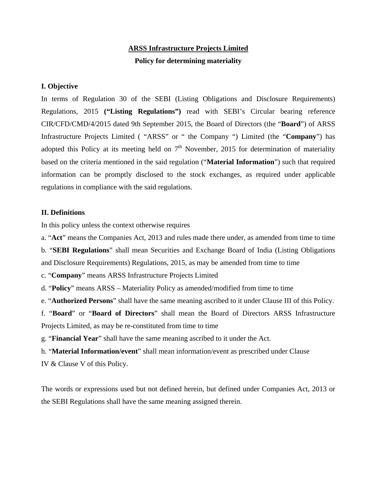# **ARSS Infrastructure Projects Limited Policy for determining materiality**

# **I. Objective**

In terms of Regulation 30 of the SEBI (Listing Obligations and Disclosure Requirements) Regulations, 2015 **("Listing Regulations")** read with SEBI's Circular bearing reference CIR/CFD/CMD/4/2015 dated 9th September 2015, the Board of Directors (the "**Board**") of ARSS Infrastructure Projects Limited ( "ARSS" or " the Company ") Limited (the "**Company**") has adopted this Policy at its meeting held on  $7<sup>th</sup>$  November, 2015 for determination of materiality based on the criteria mentioned in the said regulation ("**Material Information**") such that required information can be promptly disclosed to the stock exchanges, as required under applicable regulations in compliance with the said regulations.

# **II. Definitions**

In this policy unless the context otherwise requires

a. "**Act**" means the Companies Act, 2013 and rules made there under, as amended from time to time b. "**SEBI Regulations**" shall mean Securities and Exchange Board of India (Listing Obligations and Disclosure Requirements) Regulations, 2015, as may be amended from time to time

c. "**Company**" means ARSS Infrastructure Projects Limited

d. "**Policy**" means ARSS – Materiality Policy as amended/modified from time to time

e. "**Authorized Persons**" shall have the same meaning ascribed to it under Clause III of this Policy.

f. "**Board**" or "**Board of Directors**" shall mean the Board of Directors ARSS Infrastructure Projects Limited, as may be re-constituted from time to time

g. "**Financial Year**" shall have the same meaning ascribed to it under the Act.

h. "**Material Information/event**" shall mean information/event as prescribed under Clause

IV & Clause V of this Policy.

The words or expressions used but not defined herein, but defined under Companies Act, 2013 or the SEBI Regulations shall have the same meaning assigned therein.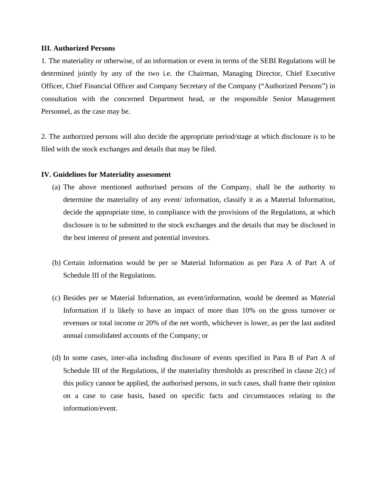#### **III. Authorized Persons**

1. The materiality or otherwise, of an information or event in terms of the SEBI Regulations will be determined jointly by any of the two i.e. the Chairman, Managing Director, Chief Executive Officer, Chief Financial Officer and Company Secretary of the Company ("Authorized Persons") in consultation with the concerned Department head, or the responsible Senior Management Personnel, as the case may be.

2. The authorized persons will also decide the appropriate period/stage at which disclosure is to be filed with the stock exchanges and details that may be filed.

### **IV. Guidelines for Materiality assessment**

- (a) The above mentioned authorised persons of the Company, shall be the authority to determine the materiality of any event/ information, classify it as a Material Information, decide the appropriate time, in compliance with the provisions of the Regulations, at which disclosure is to be submitted to the stock exchanges and the details that may be disclosed in the best interest of present and potential investors.
- (b) Certain information would be per se Material Information as per Para A of Part A of Schedule III of the Regulations.
- (c) Besides per se Material Information, an event/information, would be deemed as Material Information if is likely to have an impact of more than 10% on the gross turnover or revenues or total income or 20% of the net worth, whichever is lower, as per the last audited annual consolidated accounts of the Company; or
- (d) In some cases, inter-alia including disclosure of events specified in Para B of Part A of Schedule III of the Regulations, if the materiality thresholds as prescribed in clause 2(c) of this policy cannot be applied, the authorised persons, in such cases, shall frame their opinion on a case to case basis, based on specific facts and circumstances relating to the information/event.